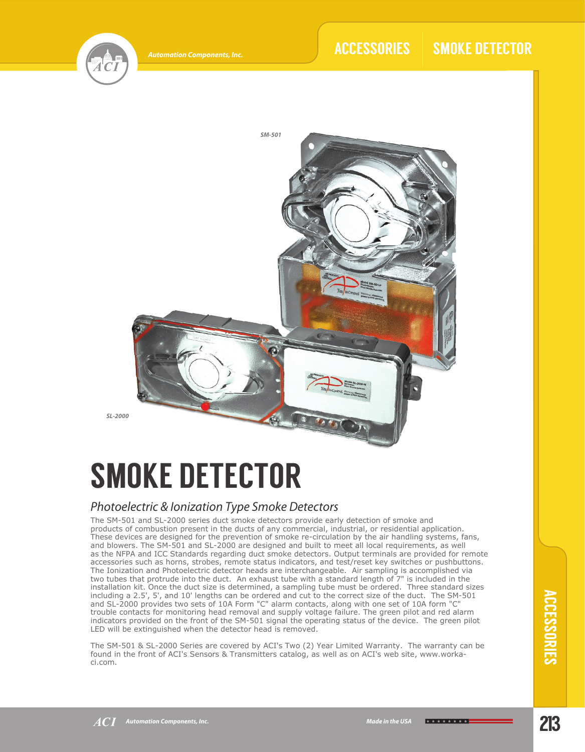

## ACCESSORIES | SMOKE DETECTOR



# SMOKE DETECTOR

## *Photoelectric & Ionization Type Smoke Detectors*

The SM-501 and SL-2000 series duct smoke detectors provide early detection of smoke and products of combustion present in the ducts of any commercial, industrial, or residential application. These devices are designed for the prevention of smoke re-circulation by the air handling systems, fans, and blowers. The SM-501 and SL-2000 are designed and built to meet all local requirements, as well as the NFPA and ICC Standards regarding duct smoke detectors. Output terminals are provided for remote accessories such as horns, strobes, remote status indicators, and test/reset key switches or pushbuttons. The Ionization and Photoelectric detector heads are interchangeable. Air sampling is accomplished via two tubes that protrude into the duct. An exhaust tube with a standard length of 7" is included in the installation kit. Once the duct size is determined, a sampling tube must be ordered. Three standard sizes including a 2.5', 5', and 10' lengths can be ordered and cut to the correct size of the duct. The SM-501 and SL-2000 provides two sets of 10A Form "C" alarm contacts, along with one set of 10A form "C" trouble contacts for monitoring head removal and supply voltage failure. The green pilot and red alarm indicators provided on the front of the SM-501 signal the operating status of the device. The green pilot LED will be extinguished when the detector head is removed.

The SM-501 & SL-2000 Series are covered by ACI's Two (2) Year Limited Warranty. The warranty can be found in the front of ACI's Sensors & Transmitters catalog, as well as on ACI's web site, www.workaci.com.